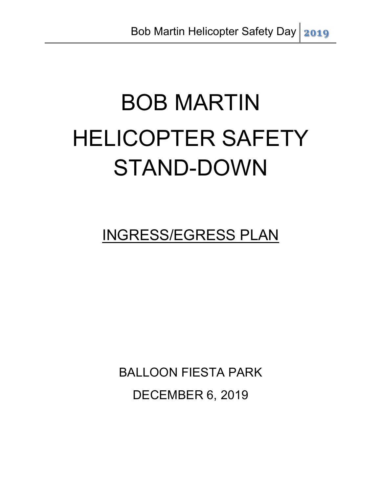# BOB MARTIN HELICOPTER SAFETY STAND-DOWN

INGRESS/EGRESS PLAN

BALLOON FIESTA PARK DECEMBER 6, 2019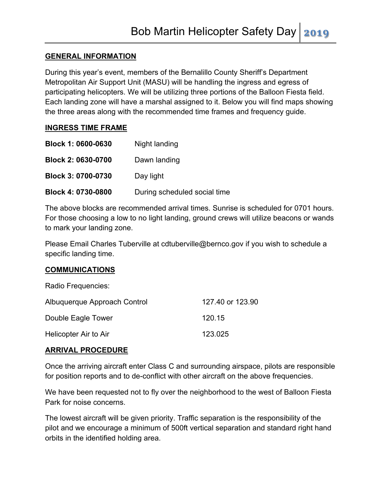#### **GENERAL INFORMATION**

During this year's event, members of the Bernalillo County Sheriff's Department Metropolitan Air Support Unit (MASU) will be handling the ingress and egress of participating helicopters. We will be utilizing three portions of the Balloon Fiesta field. Each landing zone will have a marshal assigned to it. Below you will find maps showing the three areas along with the recommended time frames and frequency guide.

#### **INGRESS TIME FRAME**

| Block 1: 0600-0630        | Night landing                |
|---------------------------|------------------------------|
| <b>Block 2: 0630-0700</b> | Dawn landing                 |
| Block 3: 0700-0730        | Day light                    |
| Block 4: 0730-0800        | During scheduled social time |

The above blocks are recommended arrival times. Sunrise is scheduled for 0701 hours. For those choosing a low to no light landing, ground crews will utilize beacons or wands to mark your landing zone.

Please Email Charles Tuberville at cdtuberville@bernco.gov if you wish to schedule a specific landing time.

#### **COMMUNICATIONS**

| Radio Frequencies:           |                  |
|------------------------------|------------------|
| Albuquerque Approach Control | 127,40 or 123,90 |
| Double Eagle Tower           | 120.15           |
| Helicopter Air to Air        | 123.025          |

#### **ARRIVAL PROCEDURE**

Once the arriving aircraft enter Class C and surrounding airspace, pilots are responsible for position reports and to de-conflict with other aircraft on the above frequencies.

We have been requested not to fly over the neighborhood to the west of Balloon Fiesta Park for noise concerns.

The lowest aircraft will be given priority. Traffic separation is the responsibility of the pilot and we encourage a minimum of 500ft vertical separation and standard right hand orbits in the identified holding area.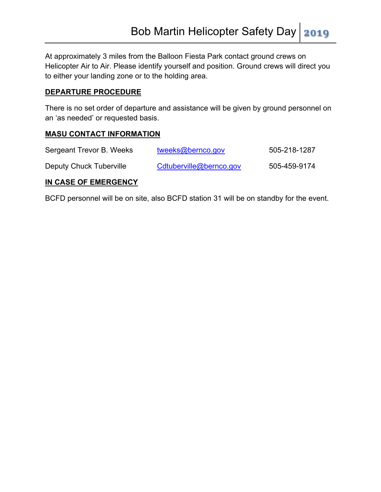At approximately 3 miles from the Balloon Fiesta Park contact ground crews on Helicopter Air to Air. Please identify yourself and position. Ground crews will direct you to either your landing zone or to the holding area.

#### **DEPARTURE PROCEDURE**

There is no set order of departure and assistance will be given by ground personnel on an 'as needed' or requested basis.

#### **MASU CONTACT INFORMATION**

| Sergeant Trevor B. Weeks | tweeks@bernco.gov       | 505-218-1287 |
|--------------------------|-------------------------|--------------|
| Deputy Chuck Tuberville  | Cdtuberville@bernco.gov | 505-459-9174 |

#### **IN CASE OF EMERGENCY**

BCFD personnel will be on site, also BCFD station 31 will be on standby for the event.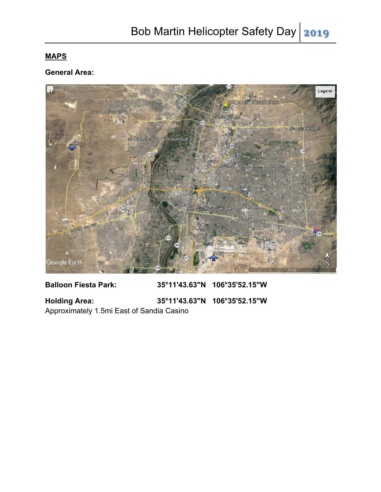## **MAPS**

### **General Area:**



**Balloon Fiesta Park: 35°11'43.63"N 106°35'52.15"W Holding Area: 35°11'43.63"N 106°35'52.15"W** 

Approximately 1.5mi East of Sandia Casino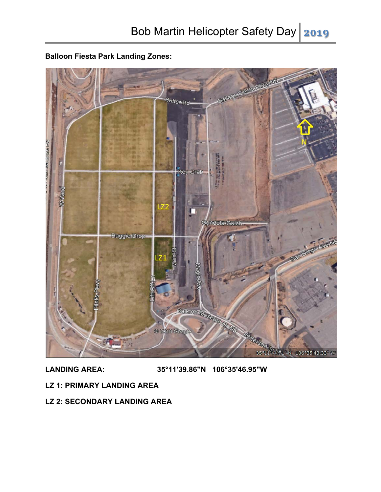**Balloon Fiesta Park Landing Zones:**



**LANDING AREA: 35°11'39.86"N 106°35'46.95"W**

- **LZ 1: PRIMARY LANDING AREA**
- **LZ 2: SECONDARY LANDING AREA**